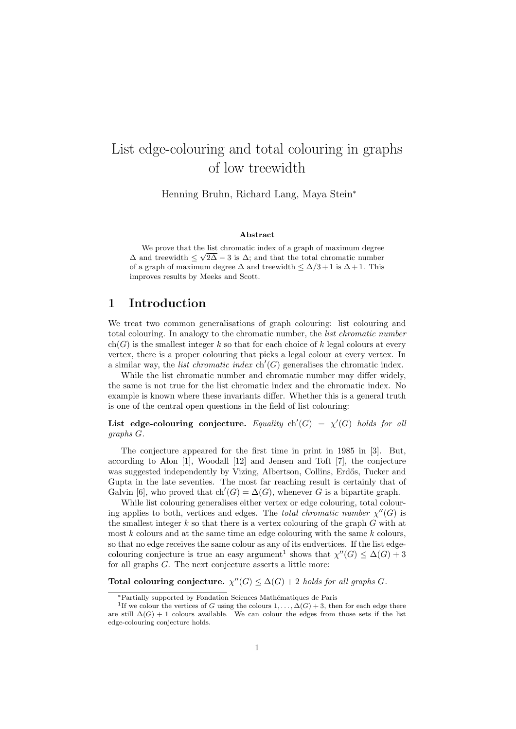# List edge-colouring and total colouring in graphs of low treewidth

Henning Bruhn, Richard Lang, Maya Stein<sup>∗</sup>

#### Abstract

We prove that the list chromatic index of a graph of maximum degree  $\Delta$  and treewidth  $\leq \sqrt{2\Delta - 3}$  is  $\Delta$ ; and that the total chromatic number of a graph of maximum degree  $\Delta$  and treewidth  $\leq \Delta/3 + 1$  is  $\Delta + 1$ . This improves results by Meeks and Scott.

## 1 Introduction

We treat two common generalisations of graph colouring: list colouring and total colouring. In analogy to the chromatic number, the list chromatic number  $ch(G)$  is the smallest integer k so that for each choice of k legal colours at every vertex, there is a proper colouring that picks a legal colour at every vertex. In a similar way, the *list chromatic index*  $\text{ch}'(G)$  generalises the chromatic index.

While the list chromatic number and chromatic number may differ widely, the same is not true for the list chromatic index and the chromatic index. No example is known where these invariants differ. Whether this is a general truth is one of the central open questions in the field of list colouring:

List edge-colouring conjecture. Equality  $\text{ch}'(G) = \chi'(G)$  holds for all graphs G.

The conjecture appeared for the first time in print in 1985 in [3]. But, according to Alon [1], Woodall [12] and Jensen and Toft [7], the conjecture was suggested independently by Vizing, Albertson, Collins, Erdős, Tucker and Gupta in the late seventies. The most far reaching result is certainly that of Galvin [6], who proved that ch'(G) =  $\Delta(G)$ , whenever G is a bipartite graph.

While list colouring generalises either vertex or edge colouring, total colouring applies to both, vertices and edges. The *total chromatic number*  $\chi''(G)$  is the smallest integer  $k$  so that there is a vertex colouring of the graph  $G$  with at most  $k$  colours and at the same time an edge colouring with the same  $k$  colours, so that no edge receives the same colour as any of its endvertices. If the list edgecolouring conjecture is true an easy argument<sup>1</sup> shows that  $\chi''(G) \leq \Delta(G) + 3$ for all graphs G. The next conjecture asserts a little more:

Total colouring conjecture.  $\chi''(G) \leq \Delta(G) + 2$  holds for all graphs G.

<sup>∗</sup>Partially supported by Fondation Sciences Math´ematiques de Paris

<sup>&</sup>lt;sup>1</sup>If we colour the vertices of G using the colours  $1, \ldots, \Delta(G) + 3$ , then for each edge there are still  $\Delta(G) + 1$  colours available. We can colour the edges from those sets if the list edge-colouring conjecture holds.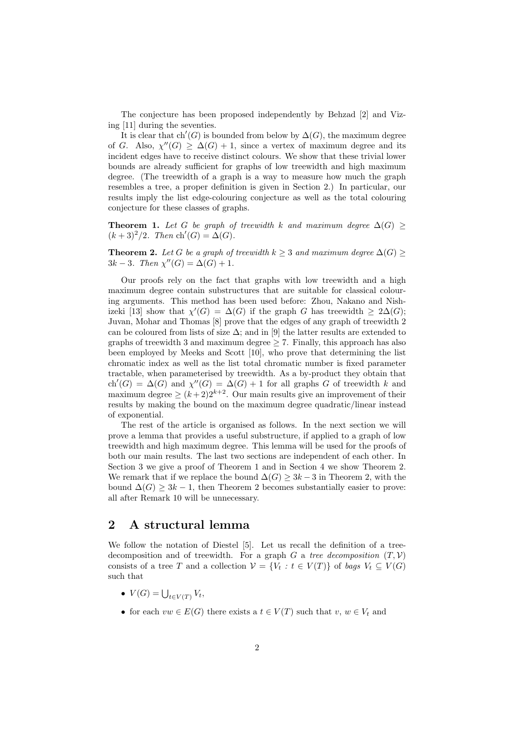The conjecture has been proposed independently by Behzad [2] and Vizing [11] during the seventies.

It is clear that ch'(G) is bounded from below by  $\Delta(G)$ , the maximum degree of G. Also,  $\chi''(G) \geq \Delta(G) + 1$ , since a vertex of maximum degree and its incident edges have to receive distinct colours. We show that these trivial lower bounds are already sufficient for graphs of low treewidth and high maximum degree. (The treewidth of a graph is a way to measure how much the graph resembles a tree, a proper definition is given in Section 2.) In particular, our results imply the list edge-colouring conjecture as well as the total colouring conjecture for these classes of graphs.

**Theorem 1.** Let G be graph of treewidth k and maximum degree  $\Delta(G) \geq$  $(k+3)^2/2$ . Then  $\text{ch}'(G) = \Delta(G)$ .

**Theorem 2.** Let G be a graph of treewidth  $k \geq 3$  and maximum degree  $\Delta(G) \geq$  $3k - 3$ . Then  $\chi''(G) = \Delta(G) + 1$ .

Our proofs rely on the fact that graphs with low treewidth and a high maximum degree contain substructures that are suitable for classical colouring arguments. This method has been used before: Zhou, Nakano and Nishizeki [13] show that  $\chi'(G) = \Delta(G)$  if the graph G has treewidth  $\geq 2\Delta(G)$ ; Juvan, Mohar and Thomas [8] prove that the edges of any graph of treewidth 2 can be coloured from lists of size  $\Delta$ ; and in [9] the latter results are extended to graphs of treewidth 3 and maximum degree  $\geq$  7. Finally, this approach has also been employed by Meeks and Scott [10], who prove that determining the list chromatic index as well as the list total chromatic number is fixed parameter tractable, when parameterised by treewidth. As a by-product they obtain that ch'(G) =  $\Delta(G)$  and  $\chi''(G) = \Delta(G) + 1$  for all graphs G of treewidth k and maximum degree  $\geq (k+2)2^{k+2}$ . Our main results give an improvement of their results by making the bound on the maximum degree quadratic/linear instead of exponential.

The rest of the article is organised as follows. In the next section we will prove a lemma that provides a useful substructure, if applied to a graph of low treewidth and high maximum degree. This lemma will be used for the proofs of both our main results. The last two sections are independent of each other. In Section 3 we give a proof of Theorem 1 and in Section 4 we show Theorem 2. We remark that if we replace the bound  $\Delta(G) \geq 3k - 3$  in Theorem 2, with the bound  $\Delta(G) \geq 3k - 1$ , then Theorem 2 becomes substantially easier to prove: all after Remark 10 will be unnecessary.

#### 2 A structural lemma

We follow the notation of Diestel [5]. Let us recall the definition of a treedecomposition and of treewidth. For a graph G a tree decomposition  $(T, V)$ consists of a tree T and a collection  $V = \{V_t : t \in V(T)\}\$ of bags  $V_t \subseteq V(G)$ such that

- $V(G) = \bigcup_{t \in V(T)} V_t,$
- for each  $vw \in E(G)$  there exists a  $t \in V(T)$  such that  $v, w \in V_t$  and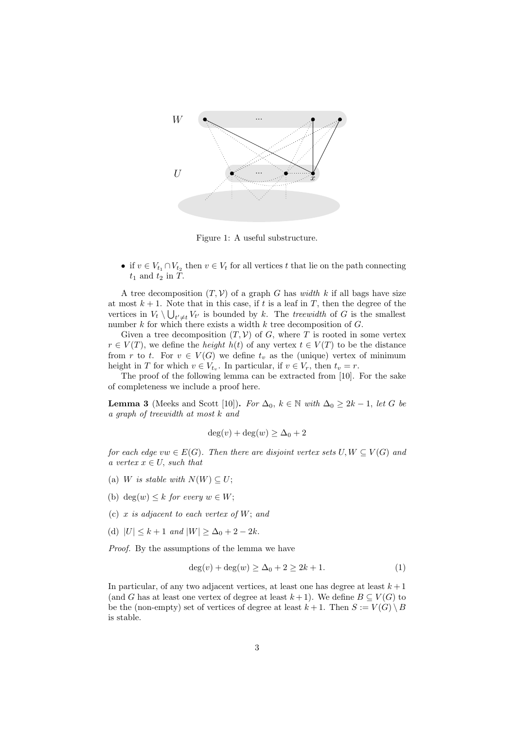

Figure 1: A useful substructure.

• if  $v \in V_{t_1} \cap V_{t_2}$  then  $v \in V_t$  for all vertices t that lie on the path connecting  $t_1$  and  $t_2$  in  $T$ .

A tree decomposition  $(T, V)$  of a graph G has width k if all bags have size at most  $k + 1$ . Note that in this case, if t is a leaf in T, then the degree of the vertices in  $V_t \setminus \bigcup_{t' \neq t} V_{t'}$  is bounded by k. The treewidth of G is the smallest number  $k$  for which there exists a width  $k$  tree decomposition of  $G$ .

Given a tree decomposition  $(T, V)$  of G, where T is rooted in some vertex  $r \in V(T)$ , we define the *height*  $h(t)$  of any vertex  $t \in V(T)$  to be the distance from r to t. For  $v \in V(G)$  we define  $t_v$  as the (unique) vertex of minimum height in T for which  $v \in V_{t_v}$ . In particular, if  $v \in V_r$ , then  $t_v = r$ .

The proof of the following lemma can be extracted from [10]. For the sake of completeness we include a proof here.

**Lemma 3** (Meeks and Scott [10]). For  $\Delta_0$ ,  $k \in \mathbb{N}$  with  $\Delta_0 \geq 2k - 1$ , let G be a graph of treewidth at most k and

$$
\deg(v) + \deg(w) \ge \Delta_0 + 2
$$

for each edge vw  $\in E(G)$ . Then there are disjoint vertex sets  $U, W \subseteq V(G)$  and a vertex  $x \in U$ , such that

- (a) W is stable with  $N(W) \subseteq U$ ;
- (b) deg $(w) \leq k$  for every  $w \in W$ ;
- (c)  $x$  is adjacent to each vertex of  $W$ ; and
- (d)  $|U| \leq k+1$  and  $|W| \geq \Delta_0 + 2 2k$ .

Proof. By the assumptions of the lemma we have

$$
deg(v) + deg(w) \ge \Delta_0 + 2 \ge 2k + 1.
$$
 (1)

In particular, of any two adjacent vertices, at least one has degree at least  $k + 1$ (and G has at least one vertex of degree at least  $k+1$ ). We define  $B \subseteq V(G)$  to be the (non-empty) set of vertices of degree at least  $k+1$ . Then  $S := V(G) \setminus B$ is stable.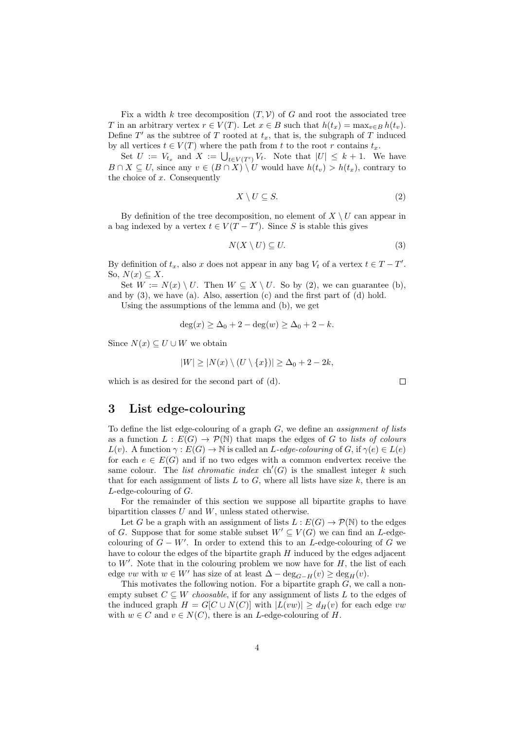Fix a width k tree decomposition  $(T, V)$  of G and root the associated tree T in an arbitrary vertex  $r \in V(T)$ . Let  $x \in B$  such that  $h(t_x) = \max_{v \in B} h(t_v)$ . Define  $T'$  as the subtree of T rooted at  $t_x$ , that is, the subgraph of T induced by all vertices  $t \in V(T)$  where the path from t to the root r contains  $t_x$ .

Set  $U := V_{t_x}$  and  $X := \bigcup_{t \in V(T')} V_t$ . Note that  $|U| \leq k+1$ . We have  $B \cap X \subseteq U$ , since any  $v \in (B \cap X) \setminus U$  would have  $h(t_v) > h(t_x)$ , contrary to the choice of  $x$ . Consequently

$$
X \setminus U \subseteq S. \tag{2}
$$

By definition of the tree decomposition, no element of  $X \setminus U$  can appear in a bag indexed by a vertex  $t \in V(T - T')$ . Since S is stable this gives

$$
N(X \setminus U) \subseteq U. \tag{3}
$$

By definition of  $t_x$ , also x does not appear in any bag  $V_t$  of a vertex  $t \in T - T'$ . So,  $N(x) \subseteq X$ .

Set  $W := N(x) \setminus U$ . Then  $W \subseteq X \setminus U$ . So by (2), we can guarantee (b), and by  $(3)$ , we have  $(a)$ . Also, assertion  $(c)$  and the first part of  $(d)$  hold.

Using the assumptions of the lemma and (b), we get

$$
\deg(x) \ge \Delta_0 + 2 - \deg(w) \ge \Delta_0 + 2 - k.
$$

Since  $N(x) \subseteq U \cup W$  we obtain

$$
|W| \ge |N(x) \setminus (U \setminus \{x\})| \ge \Delta_0 + 2 - 2k,
$$

which is as desired for the second part of (d).

## 3 List edge-colouring

To define the list edge-colouring of a graph  $G$ , we define an *assignment of lists* as a function  $L : E(G) \to \mathcal{P}(\mathbb{N})$  that maps the edges of G to lists of colours  $L(v)$ . A function  $\gamma : E(G) \to \mathbb{N}$  is called an  $L$ -edge-colouring of G, if  $\gamma(e) \in L(e)$ for each  $e \in E(G)$  and if no two edges with a common endvertex receive the same colour. The *list chromatic index*  $\text{ch}'(G)$  is the smallest integer k such that for each assignment of lists L to G, where all lists have size k, there is an L-edge-colouring of G.

For the remainder of this section we suppose all bipartite graphs to have bipartition classes  $U$  and  $W$ , unless stated otherwise.

Let G be a graph with an assignment of lists  $L : E(G) \to \mathcal{P}(\mathbb{N})$  to the edges of G. Suppose that for some stable subset  $W' \subseteq V(G)$  we can find an L-edgecolouring of  $G - W'$ . In order to extend this to an L-edge-colouring of G we have to colour the edges of the bipartite graph  $H$  induced by the edges adjacent to  $W'$ . Note that in the colouring problem we now have for  $H$ , the list of each edge vw with  $w \in W'$  has size of at least  $\Delta - \deg_{G-H}(v) \ge \deg_H(v)$ .

This motivates the following notion. For a bipartite graph  $G$ , we call a nonempty subset  $C \subseteq W$  choosable, if for any assignment of lists L to the edges of the induced graph  $H = G[C \cup N(C)]$  with  $|L(vw)| > d_H(v)$  for each edge vw with  $w \in C$  and  $v \in N(C)$ , there is an *L*-edge-colouring of *H*.

 $\Box$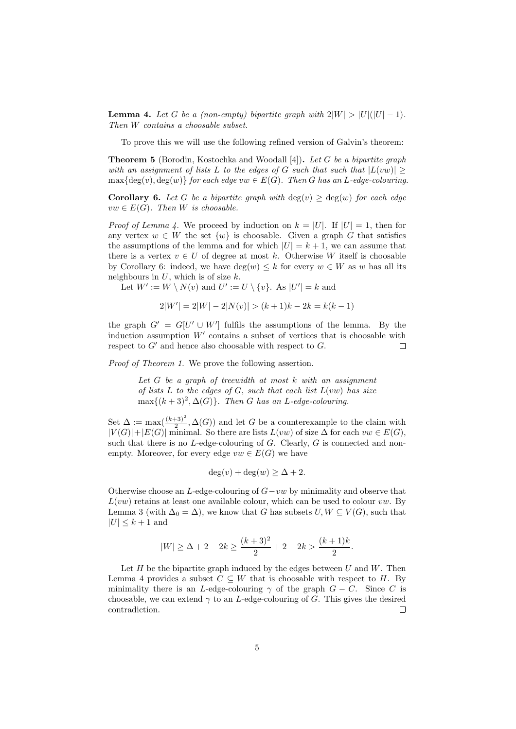**Lemma 4.** Let G be a (non-empty) bipartite graph with  $2|W| > |U|(|U| - 1)$ . Then W contains a choosable subset.

To prove this we will use the following refined version of Galvin's theorem:

Theorem 5 (Borodin, Kostochka and Woodall [4]). Let G be a bipartite graph with an assignment of lists L to the edges of G such that such that  $|L(vw)| >$  $\max\{\deg(v), \deg(w)\}\$  for each edge  $vw \in E(G)$ . Then G has an L-edge-colouring.

**Corollary 6.** Let G be a bipartite graph with  $deg(v) \geq deg(w)$  for each edge  $vw \in E(G)$ . Then W is choosable.

*Proof of Lemma 4.* We proceed by induction on  $k = |U|$ . If  $|U| = 1$ , then for any vertex  $w \in W$  the set  $\{w\}$  is choosable. Given a graph G that satisfies the assumptions of the lemma and for which  $|U| = k + 1$ , we can assume that there is a vertex  $v \in U$  of degree at most k. Otherwise W itself is choosable by Corollary 6: indeed, we have  $deg(w) \leq k$  for every  $w \in W$  as w has all its neighbours in  $U$ , which is of size  $k$ .

Let  $W' := W \setminus N(v)$  and  $U' := U \setminus \{v\}$ . As  $|U'| = k$  and

$$
2|W'| = 2|W| - 2|N(v)| > (k+1)k - 2k = k(k-1)
$$

the graph  $G' = G[U' \cup W']$  fulfils the assumptions of the lemma. By the induction assumption  $W'$  contains a subset of vertices that is choosable with respect to  $G'$  and hence also choosable with respect to  $G$ .  $\Box$ 

Proof of Theorem 1. We prove the following assertion.

Let  $G$  be a graph of treewidth at most  $k$  with an assignment of lists  $L$  to the edges of  $G$ , such that each list  $L(vw)$  has size  $\max\{(k+3)^2, \Delta(G)\}.$  Then G has an L-edge-colouring.

Set  $\Delta := \max(\frac{(k+3)^2}{2}, \Delta(G))$  and let G be a counterexample to the claim with  $|V(G)|+|E(G)|$  minimal. So there are lists  $L(vw)$  of size  $\Delta$  for each  $vw \in E(G)$ , such that there is no  $L$ -edge-colouring of  $G$ . Clearly,  $G$  is connected and nonempty. Moreover, for every edge  $vw \in E(G)$  we have

$$
\deg(v) + \deg(w) \ge \Delta + 2.
$$

Otherwise choose an L-edge-colouring of  $G-vw$  by minimality and observe that  $L(vw)$  retains at least one available colour, which can be used to colour  $vw$ . By Lemma 3 (with  $\Delta_0 = \Delta$ ), we know that G has subsets  $U, W \subseteq V(G)$ , such that  $|U| \leq k+1$  and

$$
|W| \ge \Delta + 2 - 2k \ge \frac{(k+3)^2}{2} + 2 - 2k > \frac{(k+1)k}{2}.
$$

Let  $H$  be the bipartite graph induced by the edges between  $U$  and  $W$ . Then Lemma 4 provides a subset  $C \subseteq W$  that is choosable with respect to H. By minimality there is an L-edge-colouring  $\gamma$  of the graph  $G - C$ . Since C is choosable, we can extend  $\gamma$  to an *L*-edge-colouring of G. This gives the desired contradiction.  $\Box$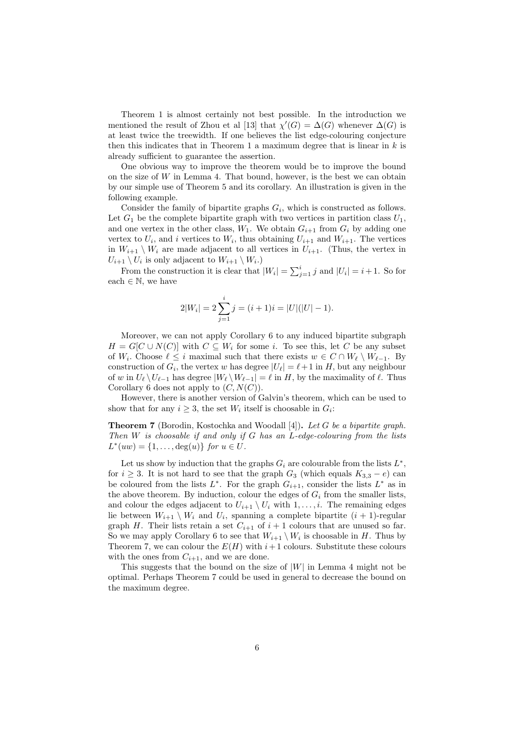Theorem 1 is almost certainly not best possible. In the introduction we mentioned the result of Zhou et al [13] that  $\chi'(G) = \Delta(G)$  whenever  $\Delta(G)$  is at least twice the treewidth. If one believes the list edge-colouring conjecture then this indicates that in Theorem 1 a maximum degree that is linear in  $k$  is already sufficient to guarantee the assertion.

One obvious way to improve the theorem would be to improve the bound on the size of  $W$  in Lemma 4. That bound, however, is the best we can obtain by our simple use of Theorem 5 and its corollary. An illustration is given in the following example.

Consider the family of bipartite graphs  $G_i$ , which is constructed as follows. Let  $G_1$  be the complete bipartite graph with two vertices in partition class  $U_1$ , and one vertex in the other class,  $W_1$ . We obtain  $G_{i+1}$  from  $G_i$  by adding one vertex to  $U_i$ , and i vertices to  $W_i$ , thus obtaining  $U_{i+1}$  and  $W_{i+1}$ . The vertices in  $W_{i+1} \setminus W_i$  are made adjacent to all vertices in  $U_{i+1}$ . (Thus, the vertex in  $U_{i+1} \setminus U_i$  is only adjacent to  $W_{i+1} \setminus W_i$ .

From the construction it is clear that  $|W_i| = \sum_{j=1}^i j$  and  $|U_i| = i+1$ . So for each  $\in \mathbb{N}$ , we have

$$
2|W_i| = 2\sum_{j=1}^i j = (i+1)i = |U|(|U|-1).
$$

Moreover, we can not apply Corollary 6 to any induced bipartite subgraph  $H = G[C \cup N(C)]$  with  $C \subseteq W_i$  for some i. To see this, let C be any subset of  $W_i$ . Choose  $\ell \leq i$  maximal such that there exists  $w \in C \cap W_{\ell} \setminus W_{\ell-1}$ . By construction of  $G_i$ , the vertex w has degree  $|U_\ell| = \ell + 1$  in H, but any neighbour of w in  $U_{\ell} \setminus U_{\ell-1}$  has degree  $|W_{\ell} \setminus W_{\ell-1}| = \ell$  in H, by the maximality of  $\ell$ . Thus Corollary 6 does not apply to  $(C, N(C))$ .

However, there is another version of Galvin's theorem, which can be used to show that for any  $i \geq 3$ , the set  $W_i$  itself is choosable in  $G_i$ :

**Theorem 7** (Borodin, Kostochka and Woodall [4]). Let G be a bipartite graph. Then  $W$  is choosable if and only if  $G$  has an  $L$ -edge-colouring from the lists  $L^*(uw) = \{1, ..., \deg(u)\}$  for  $u \in U$ .

Let us show by induction that the graphs  $G_i$  are colourable from the lists  $L^*$ , for  $i \geq 3$ . It is not hard to see that the graph  $G_3$  (which equals  $K_{3,3} - e$ ) can be coloured from the lists  $L^*$ . For the graph  $G_{i+1}$ , consider the lists  $L^*$  as in the above theorem. By induction, colour the edges of  $G_i$  from the smaller lists, and colour the edges adjacent to  $U_{i+1} \setminus U_i$  with  $1, \ldots, i$ . The remaining edges lie between  $W_{i+1} \setminus W_i$  and  $U_i$ , spanning a complete bipartite  $(i + 1)$ -regular graph H. Their lists retain a set  $C_{i+1}$  of  $i+1$  colours that are unused so far. So we may apply Corollary 6 to see that  $W_{i+1} \setminus W_i$  is choosable in H. Thus by Theorem 7, we can colour the  $E(H)$  with  $i+1$  colours. Substitute these colours with the ones from  $C_{i+1}$ , and we are done.

This suggests that the bound on the size of  $|W|$  in Lemma 4 might not be optimal. Perhaps Theorem 7 could be used in general to decrease the bound on the maximum degree.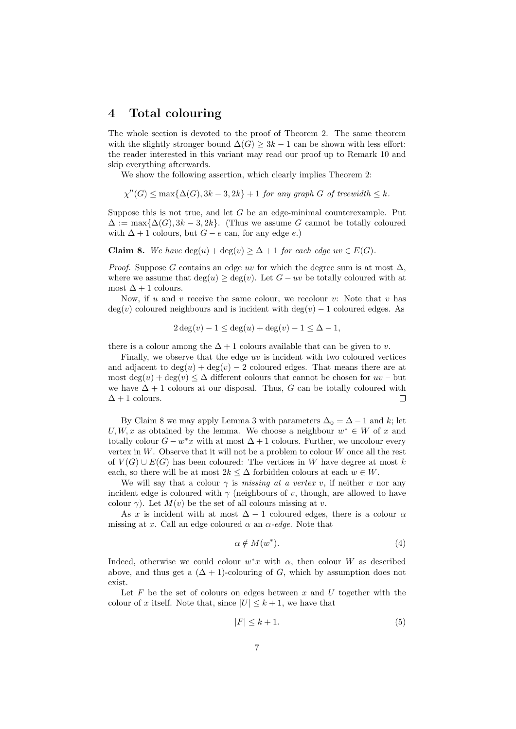#### 4 Total colouring

The whole section is devoted to the proof of Theorem 2. The same theorem with the slightly stronger bound  $\Delta(G) \geq 3k - 1$  can be shown with less effort: the reader interested in this variant may read our proof up to Remark 10 and skip everything afterwards.

We show the following assertion, which clearly implies Theorem 2:

 $\chi''(G) \le \max\{\Delta(G), 3k-3, 2k\} + 1$  for any graph G of treewidth  $\le k$ .

Suppose this is not true, and let  $G$  be an edge-minimal counterexample. Put  $\Delta := \max\{\Delta(G), 3k-3, 2k\}.$  (Thus we assume G cannot be totally coloured with  $\Delta + 1$  colours, but  $G - e$  can, for any edge e.)

**Claim 8.** We have  $deg(u) + deg(v) \geq \Delta + 1$  for each edge  $uv \in E(G)$ .

*Proof.* Suppose G contains an edge uv for which the degree sum is at most  $\Delta$ , where we assume that  $\deg(u) \geq \deg(v)$ . Let  $G - uv$  be totally coloured with at most  $\Delta + 1$  colours.

Now, if u and v receive the same colour, we recolour v: Note that v has  $\deg(v)$  coloured neighbours and is incident with  $\deg(v) - 1$  coloured edges. As

$$
2\deg(v) - 1 \le \deg(u) + \deg(v) - 1 \le \Delta - 1,
$$

there is a colour among the  $\Delta + 1$  colours available that can be given to v.

Finally, we observe that the edge uv is incident with two coloured vertices and adjacent to  $deg(u) + deg(v) - 2$  coloured edges. That means there are at most  $\deg(u) + \deg(v) \leq \Delta$  different colours that cannot be chosen for  $uv$  – but we have  $\Delta + 1$  colours at our disposal. Thus, G can be totally coloured with  $\Delta + 1$  colours. Г

By Claim 8 we may apply Lemma 3 with parameters  $\Delta_0 = \Delta - 1$  and k; let  $U, W, x$  as obtained by the lemma. We choose a neighbour  $w^* \in W$  of x and totally colour  $G - w^*x$  with at most  $\Delta + 1$  colours. Further, we uncolour every vertex in  $W$ . Observe that it will not be a problem to colour  $W$  once all the rest of  $V(G) \cup E(G)$  has been coloured: The vertices in W have degree at most k each, so there will be at most  $2k \leq \Delta$  forbidden colours at each  $w \in W$ .

We will say that a colour  $\gamma$  is missing at a vertex v, if neither v nor any incident edge is coloured with  $\gamma$  (neighbours of v, though, are allowed to have colour  $\gamma$ ). Let  $M(v)$  be the set of all colours missing at v.

As x is incident with at most  $\Delta - 1$  coloured edges, there is a colour  $\alpha$ missing at x. Call an edge coloured  $\alpha$  an  $\alpha$ -edge. Note that

$$
\alpha \notin M(w^*). \tag{4}
$$

Indeed, otherwise we could colour  $w^*x$  with  $\alpha$ , then colour W as described above, and thus get a  $(\Delta + 1)$ -colouring of G, which by assumption does not exist.

Let  $F$  be the set of colours on edges between  $x$  and  $U$  together with the colour of x itself. Note that, since  $|U| \leq k+1$ , we have that

$$
|F| \le k + 1. \tag{5}
$$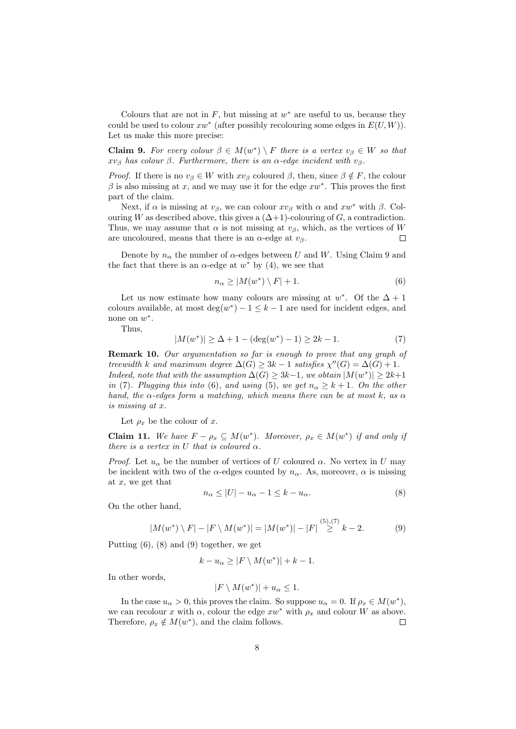Colours that are not in  $F$ , but missing at  $w^*$  are useful to us, because they could be used to colour  $xw^*$  (after possibly recolouring some edges in  $E(U, W)$ ). Let us make this more precise:

**Claim 9.** For every colour  $\beta \in M(w^*) \setminus F$  there is a vertex  $v_{\beta} \in W$  so that  $xv_{\beta}$  has colour  $\beta$ . Furthermore, there is an  $\alpha$ -edge incident with  $v_{\beta}$ .

*Proof.* If there is no  $v_\beta \in W$  with  $xv_\beta$  coloured  $\beta$ , then, since  $\beta \notin F$ , the colour  $\beta$  is also missing at x, and we may use it for the edge  $xw^*$ . This proves the first part of the claim.

Next, if  $\alpha$  is missing at  $v_\beta$ , we can colour  $xv_\beta$  with  $\alpha$  and  $xw^*$  with  $\beta$ . Colouring W as described above, this gives a  $(\Delta+1)$ -colouring of G, a contradiction. Thus, we may assume that  $\alpha$  is not missing at  $v_\beta$ , which, as the vertices of W are uncoloured, means that there is an  $\alpha$ -edge at  $v_{\beta}$ .  $\Box$ 

Denote by  $n_{\alpha}$  the number of  $\alpha$ -edges between U and W. Using Claim 9 and the fact that there is an  $\alpha$ -edge at  $w^*$  by (4), we see that

$$
n_{\alpha} \ge |M(w^*) \setminus F| + 1. \tag{6}
$$

Let us now estimate how many colours are missing at  $w^*$ . Of the  $\Delta + 1$ colours available, at most  $deg(w^*) - 1 \leq k - 1$  are used for incident edges, and none on  $w^*$ .

Thus,

$$
|M(w^*)| \ge \Delta + 1 - (\deg(w^*) - 1) \ge 2k - 1.
$$
 (7)

**Remark 10.** Our argumentation so far is enough to prove that any graph of treewidth k and maximum degree  $\Delta(G) \geq 3k - 1$  satisfies  $\chi''(G) = \Delta(G) + 1$ . Indeed, note that with the assumption  $\Delta(G) \geq 3k-1$ , we obtain  $|M(w^*)| \geq 2k+1$ in (7). Plugging this into (6), and using (5), we get  $n_{\alpha} \geq k+1$ . On the other hand, the  $\alpha$ -edges form a matching, which means there can be at most k, as  $\alpha$ is missing at x.

Let  $\rho_x$  be the colour of x.

**Claim 11.** We have  $F - \rho_x \subseteq M(w^*)$ . Moreover,  $\rho_x \in M(w^*)$  if and only if there is a vertex in U that is coloured  $\alpha$ .

*Proof.* Let  $u_{\alpha}$  be the number of vertices of U coloured  $\alpha$ . No vertex in U may be incident with two of the  $\alpha$ -edges counted by  $n_{\alpha}$ . As, moreover,  $\alpha$  is missing at  $x$ , we get that

$$
n_{\alpha} \le |U| - u_{\alpha} - 1 \le k - u_{\alpha}.\tag{8}
$$

On the other hand,

$$
|M(w^*) \setminus F| - |F \setminus M(w^*)| = |M(w^*)| - |F| \stackrel{(5),(7)}{\geq} k - 2. \tag{9}
$$

Putting (6), (8) and (9) together, we get

$$
k - u_{\alpha} \ge |F \setminus M(w^*)| + k - 1.
$$

In other words,

$$
|F \setminus M(w^*)| + u_\alpha \le 1.
$$

In the case  $u_{\alpha} > 0$ , this proves the claim. So suppose  $u_{\alpha} = 0$ . If  $\rho_x \in M(w^*)$ , we can recolour x with  $\alpha$ , colour the edge  $xw^*$  with  $\rho_x$  and colour W as above. Therefore,  $\rho_x \notin M(w^*)$ , and the claim follows.  $\Box$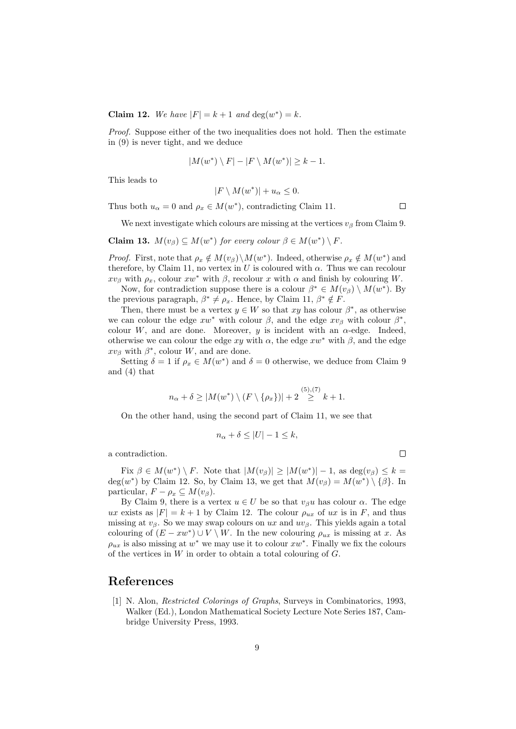Claim 12. We have  $|F| = k + 1$  and  $\deg(w^*) = k$ .

Proof. Suppose either of the two inequalities does not hold. Then the estimate in (9) is never tight, and we deduce

$$
|M(w^*) \setminus F| - |F \setminus M(w^*)| \ge k - 1.
$$

This leads to

$$
|F \setminus M(w^*)| + u_\alpha \le 0.
$$

Thus both  $u_{\alpha} = 0$  and  $\rho_x \in M(w^*)$ , contradicting Claim 11.

 $\Box$ 

 $\Box$ 

We next investigate which colours are missing at the vertices  $v_\beta$  from Claim 9.

**Claim 13.** 
$$
M(v_\beta) \subseteq M(w^*)
$$
 for every colour  $\beta \in M(w^*) \setminus F$ .

*Proof.* First, note that  $\rho_x \notin M(v_\beta) \setminus M(w^*)$ . Indeed, otherwise  $\rho_x \notin M(w^*)$  and therefore, by Claim 11, no vertex in U is coloured with  $\alpha$ . Thus we can recolour  $xv_\beta$  with  $\rho_x$ , colour  $xw^*$  with  $\beta$ , recolour x with  $\alpha$  and finish by colouring W.

Now, for contradiction suppose there is a colour  $\beta^* \in M(v_\beta) \setminus M(w^*)$ . By the previous paragraph,  $\beta^* \neq \rho_x$ . Hence, by Claim 11,  $\beta^* \notin F$ .

Then, there must be a vertex  $y \in W$  so that xy has colour  $\beta^*$ , as otherwise we can colour the edge  $xw^*$  with colour  $\beta$ , and the edge  $xv_\beta$  with colour  $\beta^*$ , colour W, and are done. Moreover, y is incident with an  $\alpha$ -edge. Indeed, otherwise we can colour the edge  $xy$  with  $\alpha$ , the edge  $xw^*$  with  $\beta$ , and the edge  $xv_\beta$  with  $\beta^*$ , colour W, and are done.

Setting  $\delta = 1$  if  $\rho_x \in M(w^*)$  and  $\delta = 0$  otherwise, we deduce from Claim 9 and (4) that

$$
n_{\alpha} + \delta \ge |M(w^*) \setminus (F \setminus {\rho_x})| + 2 \stackrel{(5),(7)}{\ge} k + 1.
$$

On the other hand, using the second part of Claim 11, we see that

$$
n_{\alpha} + \delta \le |U| - 1 \le k,
$$

a contradiction.

Fix  $\beta \in M(w^*) \setminus F$ . Note that  $|M(v_\beta)| \ge |M(w^*)| - 1$ , as  $\deg(v_\beta) \le k =$ deg(w<sup>\*</sup>) by Claim 12. So, by Claim 13, we get that  $M(v_\beta) = M(w^*) \setminus {\beta}.$  In particular,  $F - \rho_x \subseteq M(v_\beta)$ .

By Claim 9, there is a vertex  $u \in U$  be so that  $v_{\beta}u$  has colour  $\alpha$ . The edge ux exists as  $|F| = k + 1$  by Claim 12. The colour  $\rho_{ux}$  of ux is in F, and thus missing at  $v_\beta$ . So we may swap colours on ux and  $uv_\beta$ . This yields again a total colouring of  $(E - xw^*) \cup V \setminus W$ . In the new colouring  $\rho_{ux}$  is missing at x. As  $\rho_{ux}$  is also missing at  $w^*$  we may use it to colour  $xw^*$ . Finally we fix the colours of the vertices in  $W$  in order to obtain a total colouring of  $G$ .

#### References

[1] N. Alon, Restricted Colorings of Graphs, Surveys in Combinatorics, 1993, Walker (Ed.), London Mathematical Society Lecture Note Series 187, Cambridge University Press, 1993.